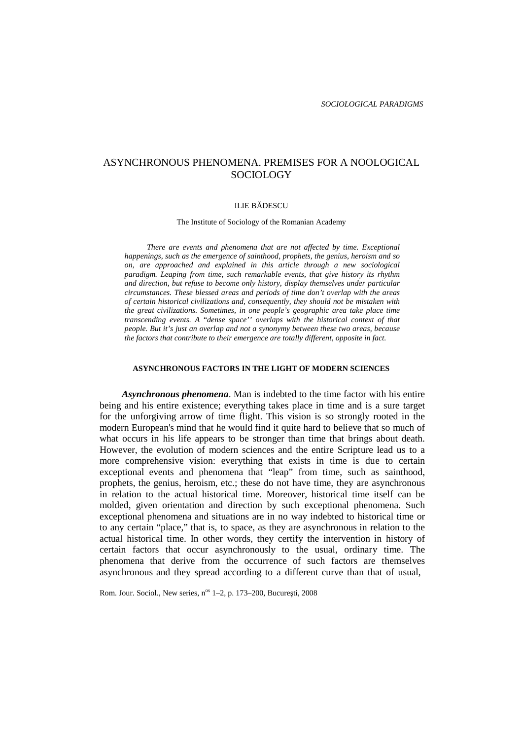# ASYNCHRONOUS PHENOMENA. PREMISES FOR A NOOLOGICAL SOCIOLOGY

#### **ILIE B DESCU**

The Institute of Sociology of the Romanian Academy

*There are events and phenomena that are not affected by time. Exceptional happenings, such as the emergence of sainthood, prophets, the genius, heroism and so on, are approached and explained in this article through a new sociological paradigm. Leaping from time, such remarkable events, that give history its rhythm and direction, but refuse to become only history, display themselves under particular circumstances. These blessed areas and periods of time don't overlap with the areas of certain historical civilizations and, consequently, they should notbe mistaken with the great civilizations. Sometimes, in one people's geographic area take place time transcending events. A* "*dense space'' overlaps with the historical context of that people. But it's just an overlap and not a synonymy between these two areas, because the factors that contribute to their emergence are totally different, opposite in fact.*

## **ASYNCHRONOUS FACTORS IN THE LIGHT OF MODERN SCIENCES**

*Asynchronous phenomena*. Man is indebted to the time factor with his entire being and his entire existence; everything takes place in time and is a sure target for the unforgiving arrow of time flight. This vision is so strongly rooted in the modern European's mind that he would find it quite hard to believe that so much of what occurs in his life appears to be stronger than time that brings about death. However, the evolution of modern sciences and the entire Scripture lead us to a more comprehensive vision: everything that exists in time is due to certain exceptional events and phenomena that "leap" from time, such as sainthood, prophets, the genius, heroism, etc.; these do nothave time, they are asynchronous in relation to the actual historical time. Moreover, historical time itself can be molded, given orientation and direction by such exceptional phenomena. Such exceptional phenomena and situations are in no way indebted to historical time or to any certain "place," that is, to space, as they are asynchronous in relation to the actual historical time. In other words, they certify the intervention in history of certain factors that occur asynchronously to the usual, ordinary time. The phenomena that derive from the occurrence of such factors are themselves asynchronous and they spread according to a different curve than that of usual,

Rom. Jour. Sociol., New series, n<sup>os</sup> 1-2, p. 173-200, Bucure ti, 2008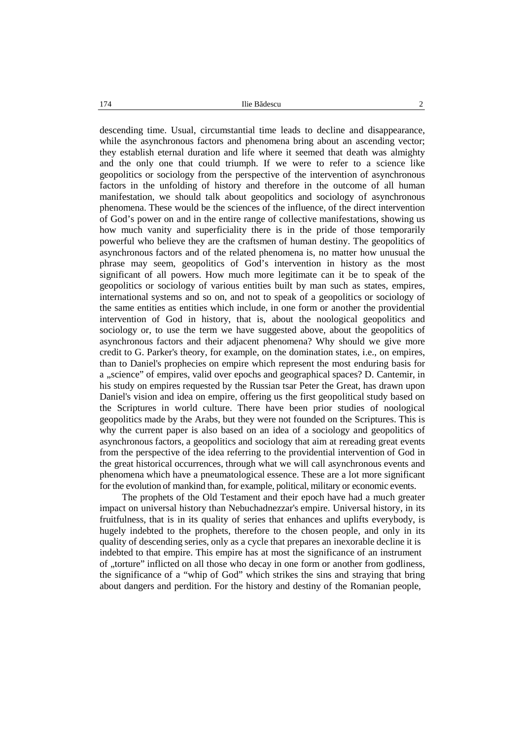$174$  Ilie B descu  $2$ 

descending time. Usual, circumstantial time leads to decline and disappearance, while the asynchronous factors and phenomena bring about an ascending vector; they establish eternal duration and life where it seemed that death was almighty and the only one that could triumph. If we were to refer to a science like geopolitics or sociology from the perspective of the intervention of asynchronous factors in the unfolding of history and therefore in the outcome of all human manifestation, we should talk about geopolitics and sociology of asynchronous phenomena. These would be the sciences of the influence, of the direct intervention of God's power on and in the entire range of collective manifestations, showing us how much vanity and superficiality there is in the pride of those temporarily powerful who believe they are the craftsmen of human destiny. The geopolitics of asynchronous factors and of the related phenomena is, no matter how unusual the phrase may seem, geopolitics of God's intervention in history as the most significant of all powers. How much more legitimate can it be to speak of the geopolitics or sociology of various entities built by man such as states, empires, international systems and so on, and not to speak of a geopolitics or sociology of the same entities as entities which include, in one form or another the providential intervention of God in history, that is, about the noological geopolitics and sociology or, to use the term we have suggested above, about the geopolitics of asynchronous factors and their adjacent phenomena? Why should we give more credit to G. Parker's theory, for example, on the domination states, i.e., on empires, than to Daniel's prophecies on empire which represent the most enduring basis for a "science" of empires, valid over epochs and geographical spaces? D. Cantemir, in his study on empires requested by the Russian tsar Peter the Great, has drawn upon Daniel's vision and idea on empire, offering us the first geopolitical study based on the Scriptures in world culture. There have been prior studies of noological geopolitics made by the Arabs, but they were not founded on the Scriptures. This is why the current paper is also based on an idea of a sociology and geopolitics of asynchronous factors, a geopolitics and sociology that aim at rereading great events from the perspective of the idea referring to the providential intervention of God in the great historical occurrences, through what we will call asynchronous events and phenomena which have a pneumatological essence. These are a lot more significant for the evolution of mankind than, for example, political, military or economic events.

The prophets of the Old Testament and their epoch have had a much greater impact on universal history than Nebuchadnezzar's empire. Universal history, in its fruitfulness, that is in its quality of series that enhances and uplifts everybody, is hugely indebted to the prophets, therefore to the chosen people, and only in its quality of descending series, only as a cycle that prepares an inexorable decline it is indebted to that empire. This empire has at most the significance of an instrument of "torture" inflicted on all those who decay in one form or another from godliness, the significance of a "whip of God" which strikes the sins and straying that bring about dangers and perdition. For the history and destiny of the Romanian people,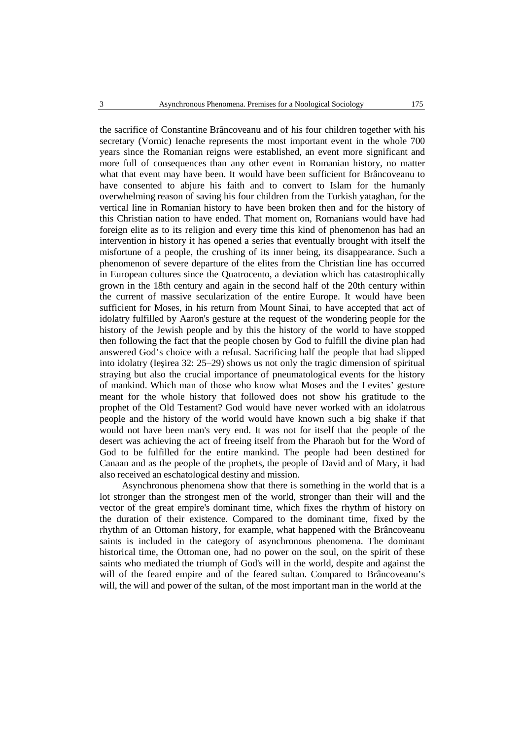the sacrifice of Constantine Brâncoveanu and of his four children together with his secretary (Vornic) Ienache represents the most important event in the whole 700 years since the Romanian reigns were established, an event more significant and more full of consequences than any other event in Romanian history, no matter what that event may have been. It would have been sufficient for Brâncoveanu to have consented to abjure his faith and to convert to Islam for the humanly overwhelming reason of saving his four children from the Turkish yataghan, for the vertical line in Romanian history to have been broken then and for the history of this Christian nation to have ended. That moment on, Romanians would have had foreign elite as to its religion and every time this kind of phenomenon has had an intervention in history it has opened a series that eventually brought with itself the misfortune of a people, the crushing of its inner being, its disappearance. Such a phenomenon of severe departure of the elites from the Christian line has occurred in European cultures since the Quatrocento, a deviation which has catastrophically grown in the 18th century and again in the second half of the 20th century within the current of massive secularization of the entire Europe. It would have been sufficient for Moses, in his return from Mount Sinai, to have accepted that act of idolatry fulfilled by Aaron's gesture at the request of the wondering people for the history of the Jewish people and by this the history of the world to have stopped then following the fact that the people chosen by God to fulfill the divine plan had answered God's choice with a refusal. Sacrificing half the people that had slipped into idolatry (Ie irea  $32: 25-29$ ) shows us not only the tragic dimension of spiritual straying but also the crucial importance of pneumatological events for the history of mankind. Which man of those who know what Moses and the Levites' gesture meant for the whole history that followed does not show his gratitude to the prophet of the Old Testament? God would have never worked with an idolatrous people and the history of the world would have known such a big shake if that would not have been man's very end. It was not for itself that the people of the desert was achieving the act of freeing itself from the Pharaoh but for the Word of God to be fulfilled for the entire mankind. The people had been destined for Canaan and as the people of the prophets, the people of David and of Mary, it had also received an eschatological destiny and mission.

Asynchronous phenomena show that there is something in the world that is a lot stronger than the strongest men of the world, stronger than their will and the vector of the great empire's dominant time, which fixes the rhythm of history on the duration of their existence. Compared to the dominant time, fixed by the rhythm of an Ottoman history, for example, what happened with the Brâncoveanu saints is included in the category of asynchronous phenomena. The dominant historical time, the Ottoman one, had no power on the soul, on the spirit of these saints who mediated the triumph of God's will in the world, despite and against the will of the feared empire and of the feared sultan. Compared to Brâncoveanu's will, the will and power of the sultan, of the most important man in the world at the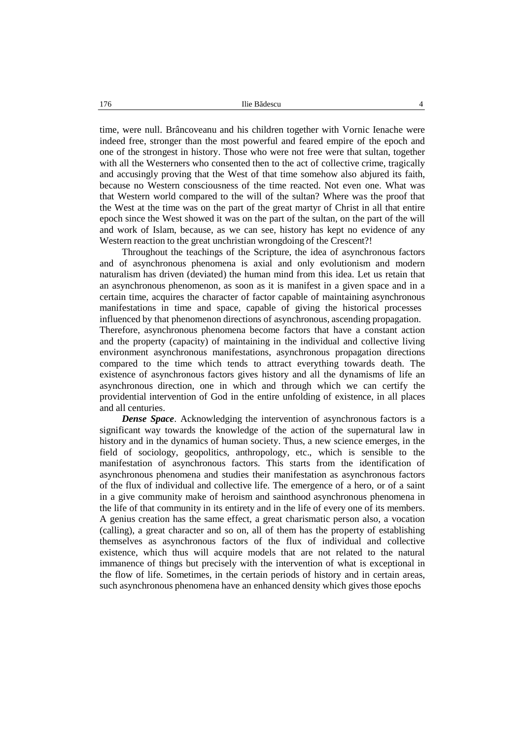time, were null. Brâncoveanu and his children together with Vornic Ienache were indeed free, stronger than the most powerful and feared empire of the epoch and one of the strongest in history. Those who were not free were that sultan, together with all the Westerners who consented then to the act of collective crime, tragically and accusingly proving that the West of that time somehow also abjured its faith, because no Western consciousness of the time reacted. Not even one. What was that Western world compared to the will of the sultan? Where was the proof that the West at the time was on the part of the great martyr of Christ in all that entire epoch since the West showed it was on the part of the sultan, on the part of the will and work of Islam, because, as we can see, history has kept no evidence of any Western reaction to the great unchristian wrongdoing of the Crescent?!

Throughout the teachings of the Scripture, the idea of asynchronous factors and of asynchronous phenomena is axial and only evolutionism and modern naturalism has driven (deviated) the human mind from this idea. Let us retain that an asynchronous phenomenon, as soon as it is manifest in a given space and in a certain time, acquires the character of factor capable of maintaining asynchronous manifestations in time and space, capable of giving the historical processes influenced by that phenomenon directions of asynchronous, ascending propagation. Therefore, asynchronous phenomena become factors that have a constant action and the property (capacity) of maintaining in the individual and collective living environment asynchronous manifestations, asynchronous propagation directions compared to the time which tends to attract everything towards death. The existence of asynchronous factors gives history and all the dynamisms of life an asynchronous direction, one in which and through which we can certify the providential intervention of God in the entire unfolding of existence, in all places and all centuries.

*Dense Space*. Acknowledging the intervention of asynchronous factors is a significant way towards the knowledge of the action of the supernatural law in history and in the dynamics of human society. Thus, a new science emerges, in the field of sociology, geopolitics, anthropology, etc., which is sensible to the manifestation of asynchronous factors. This starts from the identification of asynchronous phenomena and studies their manifestation as asynchronous factors of the flux of individual and collective life. The emergence of a hero, or of a saint in a give community make of heroism and sainthood asynchronous phenomena in the life of that community in its entirety and in the life of every one of its members. A genius creation has the same effect, a great charismatic person also, a vocation (calling), a great character and so on, all of them has the property of establishing themselves as asynchronous factors of the flux of individual and collective existence, which thus will acquire models that are not related to the natural immanence of things but precisely with the intervention of what is exceptional in the flow of life. Sometimes, in the certain periods of history and in certain areas, such asynchronous phenomena have an enhanced density which gives those epochs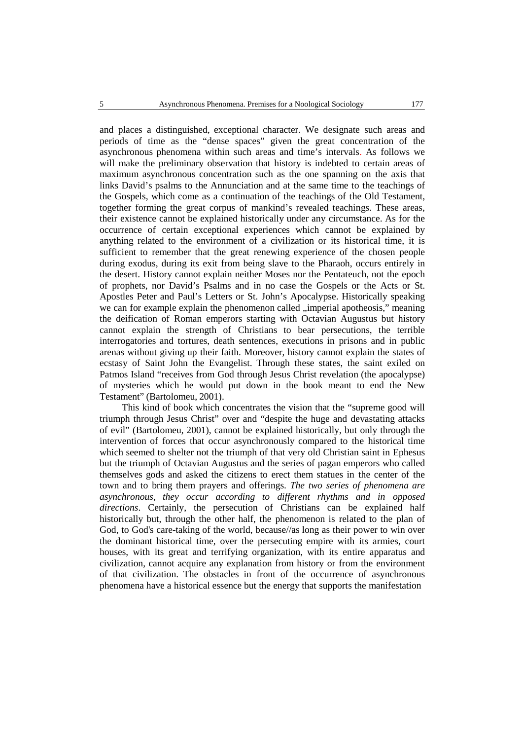and places a distinguished, exceptional character. We designate such areas and periods of time as the "dense spaces" given the great concentration of the asynchronous phenomena within such areas and time's intervals. As follows we will make the preliminary observation that history is indebted to certain areas of maximum asynchronous concentration such as the one spanning on the axis that links David's psalms to the Annunciation and at the same time to the teachings of the Gospels, which come as a continuation of the teachings of the Old Testament, together forming the great corpus of mankind's revealed teachings. These areas, their existence cannot be explained historically under any circumstance. As for the occurrence of certain exceptional experiences which cannot be explained by anything related to the environment of a civilization or its historical time, it is sufficient to remember that the great renewing experience of the chosen people during exodus, during its exit from being slave to the Pharaoh, occurs entirely in the desert. History cannot explain neither Moses nor the Pentateuch, not the epoch of prophets, nor David's Psalms and in no case the Gospels or the Acts or St. Apostles Peter and Paul's Letters or St. John's Apocalypse. Historically speaking we can for example explain the phenomenon called "imperial apotheosis", meaning the deification of Roman emperors starting with Octavian Augustus but history cannot explain the strength of Christians to bear persecutions, the terrible interrogatories and tortures, death sentences, executions in prisons and in public arenas without giving up their faith. Moreover, history cannot explain the states of ecstasy of Saint John the Evangelist. Through these states, the saint exiled on Patmos Island "receives from God through Jesus Christ revelation (the apocalypse) of mysteries which he would put down in the book meant to end the New Testament" (Bartolomeu, 2001).

This kind of book which concentrates the vision that the "supreme good will triumph through Jesus Christ" over and "despite the huge and devastating attacks of evil" (Bartolomeu, 2001), cannot be explained historically, but only through the intervention of forces that occur asynchronously compared to the historical time which seemed to shelter not the triumph of that very old Christian saint in Ephesus but the triumph of Octavian Augustus and the series of pagan emperors who called themselves gods and asked the citizens to erect them statues in the center of the town and to bring them prayers and offerings. *The two series of phenomena are asynchronous, they occur according to different rhythms and in opposed directions*. Certainly, the persecution of Christians can be explained half historically but, through the other half, the phenomenon is related to the plan of God, to God's care-taking of the world, because//as long as their power to win over the dominant historical time, over the persecuting empire with its armies, court houses, with its great and terrifying organization, with its entire apparatus and civilization, cannot acquire any explanation from history or from the environment of that civilization. The obstacles in front of the occurrence of asynchronous phenomena have a historical essence but the energy that supports the manifestation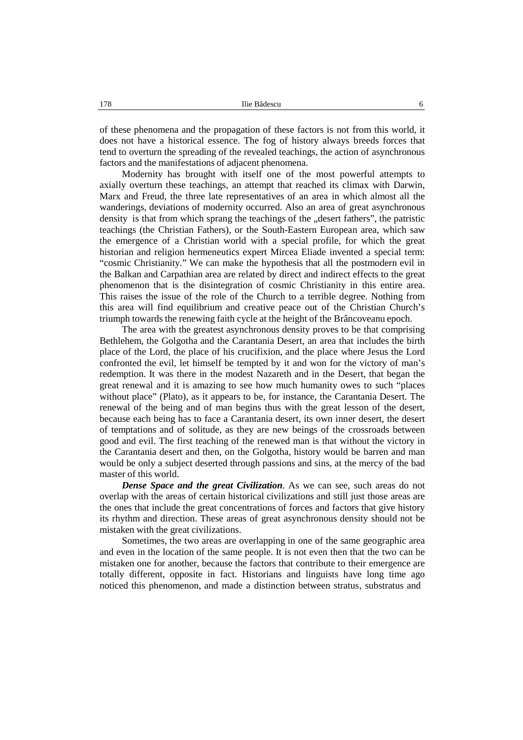of these phenomena and the propagation of these factors is not from this world, it does not have a historical essence. The fog of history always breeds forces that tend to overturn the spreading of the revealed teachings, the action of asynchronous factors and the manifestations of adjacent phenomena.

Modernity has brought with itself one of the most powerful attempts to axially overturn these teachings, an attempt that reached its climax with Darwin, Marx and Freud, the three late representatives of an area in which almost all the wanderings, deviations of modernity occurred. Also an area of great asynchronous density is that from which sprang the teachings of the "desert fathers", the patristic teachings (the Christian Fathers), or the South-Eastern European area, which saw the emergence of a Christian world with a special profile, for which the great historian and religion hermeneutics expert Mircea Eliade invented a special term: "cosmic Christianity." We can make the hypothesis that all the postmodern evil in the Balkan and Carpathian area are related by direct and indirect effects to the great phenomenon that is the disintegration of cosmic Christianity in this entire area. This raises the issue of the role of the Church to a terrible degree. Nothing from this area will find equilibrium and creative peace out of the Christian Church's triumph towards the renewing faith cycle at the height of the Brâncoveanu epoch.

The area with the greatest asynchronous density proves to be that comprising Bethlehem, the Golgotha and the Carantania Desert, an area that includes the birth place of the Lord, the place of his crucifixion, and the place where Jesus the Lord confronted the evil, let himself be tempted by it and won for the victory of man's redemption. It was there in the modest Nazareth and in the Desert, that began the great renewal and it is amazing to see how much humanity owes to such "places without place" (Plato), as it appears to be, for instance, the Carantania Desert. The renewal of the being and of man begins thus with the great lesson of the desert, because each being has to face a Carantania desert, its own inner desert, the desert of temptations and of solitude, as they are new beings of the crossroads between good and evil. The first teaching of the renewed man is that without the victory in the Carantania desert and then, on the Golgotha, history would be barren and man would be only a subject deserted through passions and sins, at the mercy of the bad master of this world.

*Dense Space and the great Civilization*. As we can see, such areas do not overlap with the areas of certain historical civilizations and still just those areas are the ones that include the great concentrations of forces and factors that give history its rhythm and direction. These areas of great asynchronous density should not be mistaken with the great civilizations.

Sometimes, the two areas are overlapping in one of the same geographic area and even in the location of the same people. It is not even then that the two can be mistaken one for another, because the factors that contribute to their emergence are totally different, opposite in fact. Historians and linguists have long time ago noticed this phenomenon, and made a distinction between stratus, substratus and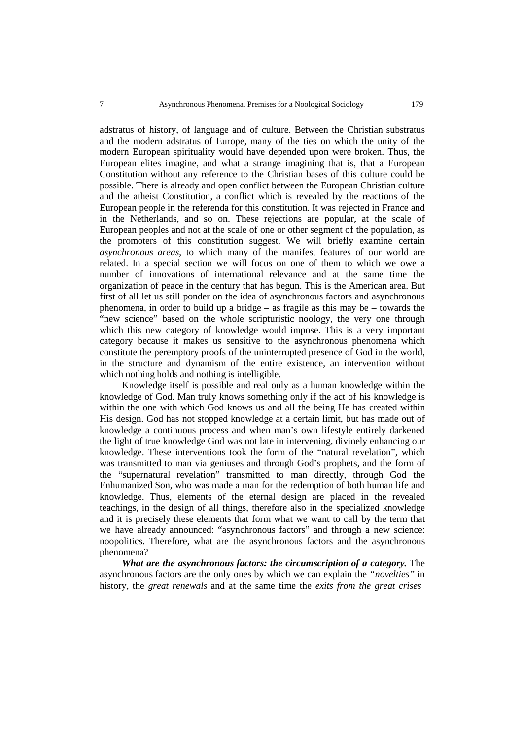adstratus of history, of language and of culture. Between the Christian substratus and the modern adstratus of Europe, many of the ties on which the unity of the modern European spirituality would have depended upon were broken. Thus, the European elites imagine, and what a strange imagining that is, that a European Constitution without any reference to the Christian bases of this culture could be possible. There is already and open conflict between the European Christian culture and the atheist Constitution, a conflict which is revealed by the reactions of the European people in the referenda for this constitution. It was rejected in France and in the Netherlands, and so on.These rejections are popular, at the scale of European peoples and not at the scale of one or other segment of the population, as the promoters of this constitution suggest. We will briefly examine certain *asynchronous areas*, to which many of the manifest features of our world are related. In a special section we will focus on one of them to which we owe a number of innovations of international relevance and at the same time the organization of peace in the century that has begun. This is the American area. But first of all let us still ponder on the idea of asynchronous factors and asynchronous phenomena, in order to build up a bridge – as fragile as this may be – towards the "new science" based on the whole scripturistic noology, the very one through which this new category of knowledge would impose. This is a very important category because it makes us sensitive to the asynchronous phenomena which constitute the peremptory proofs of the uninterrupted presence of God in the world, in the structure and dynamism of the entire existence, an intervention without which nothing holds and nothing is intelligible.

Knowledge itself is possible and real only as a human knowledge within the knowledge of God. Man truly knows something only if the act of his knowledge is within the one with which God knows us and all the being He has created within His design. God has not stopped knowledge at a certain limit, but has made out of knowledge a continuous process and when man's own lifestyle entirely darkened the light of true knowledge God was not late in intervening, divinely enhancing our knowledge. These interventions took the form of the "natural revelation", which was transmitted to man via geniuses and through God's prophets, and the form of the "supernatural revelation" transmitted to man directly, through God the Enhumanized Son, who was made a man for the redemption of both human life and knowledge. Thus, elements of the eternal design are placed in the revealed teachings, in the design of all things, therefore also in the specialized knowledge and it is precisely these elements that form what we want to call by the term that we have already announced: "asynchronous factors" and through a new science: noopolitics. Therefore, what are the asynchronous factors and the asynchronous phenomena?

*What are the asynchronous factors: the circumscription of a category.* The asynchronous factors are the only ones by which we can explain the *"novelties"* in history, the *great renewals* and at the same time the *exits from the great crises*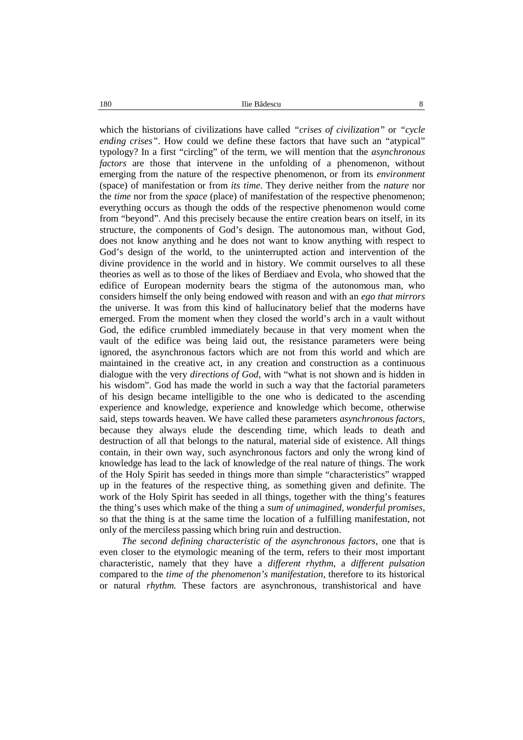180 **Ilie B** descu 8

which the historians of civilizations have called *"crises of civilization"* or *"cycle ending crises"*. How could we define these factors that have such an "atypical" typology? In a first "circling" of the term, we will mention that the *asynchronous factors* are those that intervene in the unfolding of a phenomenon, without emerging from the nature of the respective phenomenon, or from its *environment* (space) of manifestation or from *its time*. They derive neither from the *nature* nor the *time* nor from the *space* (place) of manifestation of the respective phenomenon; everything occurs as though the odds of the respective phenomenon would come from "beyond". And this precisely because the entire creation bears on itself, in its structure, the components of God's design. The autonomous man, without God, does not know anything and he does not want to know anything with respect to God's design of the world, to the uninterrupted action and intervention of the divine providence in the world and in history. We commit ourselves to all these theories as well as to those of the likes of Berdiaev and Evola, who showed that the edifice of European modernity bears the stigma of the autonomous man, who considers himself the only being endowed with reason and with an *ego that mirrors* the universe. It was from this kind ofhallucinatory belief that the moderns have emerged. From the moment when they closed the world's arch in a vault without God, the edifice crumbled immediately because in that very moment when the vault of the edifice was being laid out, the resistance parameters were being ignored, the asynchronous factors which are not from this world and which are maintained in the creative act, in any creation and construction as a continuous dialogue with the very *directions of God*, with "what is not shown and is hidden in his wisdom". God has made the world in such a way that the factorial parameters of his design became intelligible to the one who is dedicated to the ascending experience and knowledge, experience and knowledge which become, otherwise said, steps towards heaven. We have called these parameters *asynchronous factors*, because they always elude the descending time, which leads to death and destruction of all that belongs to the natural, material side of existence. All things contain, in their own way, such asynchronous factors and only the wrong kind of knowledge has lead to the lack of knowledge of the real nature of things. The work of the Holy Spirit has seeded in things more than simple "characteristics" wrapped up in the features of the respective thing, as something given and definite. The work of the Holy Spirit has seeded in all things, together with the thing's features the thing's uses which make of the thing a *sum of unimagined, wonderful promises,* so that the thing is at the same time the location of a fulfilling manifestation, not only of the merciless passing which bring ruin and destruction.

*The second defining characteristic of the asynchronous factors, one that is* even closer to the etymologic meaning of the term, refers to their most important characteristic, namely that they have a *different rhythm*, a *different pulsation* compared to the *time of the phenomenon's manifestation*, therefore to its historical or natural *rhythm.* These factors are asynchronous, transhistorical and have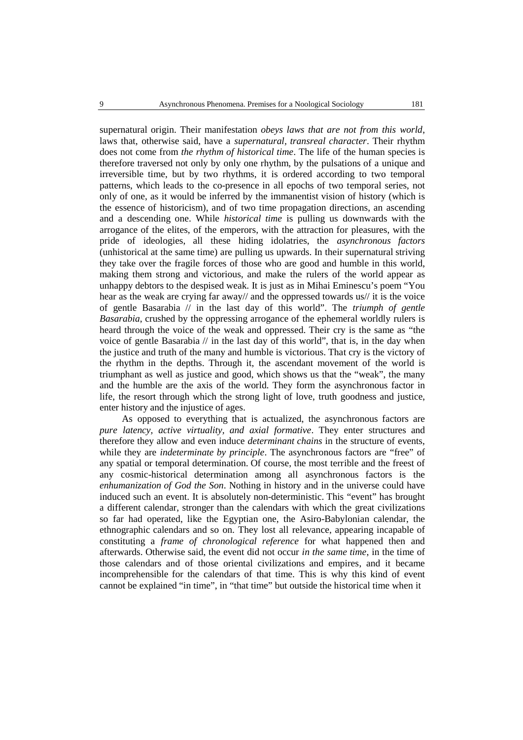supernatural origin. Their manifestation *obeys laws that are not from this world*, laws that, otherwise said, have a *supernatural, transreal character*. Their rhythm does not come from *the rhythm of historical time*. The life of the human species is therefore traversed not only by only one rhythm, by the pulsations of a unique and irreversible time, but by two rhythms, it is ordered according to two temporal patterns, which leads to the co-presence in all epochs of two temporal series, not only of one, as it would be inferred by the immanentist vision of history (which is the essence of historicism), and of two time propagation directions, an ascending and a descending one. While *historical time* is pulling us downwards with the arrogance of the elites, of the emperors, with the attraction for pleasures, with the pride of ideologies, all these hiding idolatries, the *asynchronous factors* (unhistorical at the same time) are pulling us upwards. In their supernatural striving they take over the fragile forces of those who are good and humble in this world, making them strong and victorious, and make the rulers of the world appear as unhappy debtors to the despised weak. It is just as in Mihai Eminescu's poem "You hear as the weak are crying far away// and the oppressed towards us// it is the voice of gentle Basarabia // in the last day of this world". The *triumph of gentle Basarabia*, crushed by the oppressing arrogance of the ephemeral worldly rulers is heard through the voice of the weak and oppressed. Their cry is the same as "the voice of gentle Basarabia // in the last day of this world", that is, in the day when the justice and truth of the many and humble is victorious. That cry is the victory of the rhythm in the depths. Through it, the ascendant movement of the world is triumphant as well as justice and good, which shows us that the "weak", the many and the humble are the axis of the world. They form the asynchronous factor in life, the resort through which the strong light of love, truth goodness and justice, enter history and the injustice of ages.

As opposed to everything that is actualized, the asynchronous factors are *pure latency, active virtuality, and axial formative*. They enter structures and therefore they allow and even induce *determinant chains* in the structure of events, while they are *indeterminate by principle*. The asynchronous factors are "free" of any spatial or temporal determination. Of course, the most terrible and the freest of any cosmic-historical determination among all asynchronous factors is the *enhumanization of God the Son*. Nothing in history and in the universe could have induced such an event. It is absolutely non-deterministic. This "event" has brought a different calendar, stronger than the calendars with which the great civilizations so far had operated, like the Egyptian one, the Asiro-Babylonian calendar, the ethnographic calendars and so on. They lost all relevance, appearing incapable of constituting a *frame of chronological reference* for what happened then and afterwards. Otherwise said, the event did not occur *in the same time*, in the time of those calendars and of those oriental civilizations and empires, and it became incomprehensible for the calendars of that time. This is why this kind of event cannot be explained "in time", in "that time" but outside the historical time when it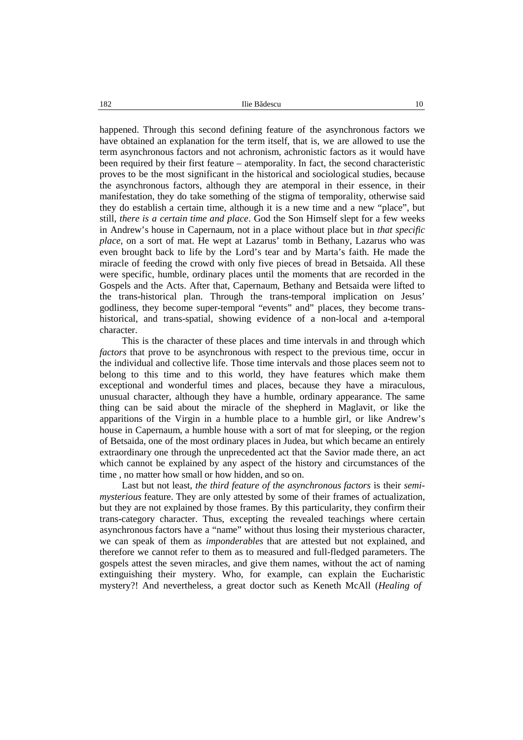happened. Through this second defining feature of the asynchronous factors we have obtained an explanation for the term itself, that is, we are allowed to use the term asynchronous factors and not achronism, achronistic factors as it would have been required by their first feature – atemporality. In fact, the second characteristic proves to be the most significant in the historical and sociological studies, because the asynchronous factors, although they are atemporal in their essence, in their manifestation, they do take something of the stigma of temporality, otherwise said they do establish a certain time, although it is a new time and a new "place", but still, *there is a certain time and place*. God the Son Himself slept for a few weeks in Andrew's house in Capernaum, not in a place without place but in *that specific place*, on a sort of mat. He wept at Lazarus' tomb in Bethany, Lazarus who was even brought back to life by the Lord's tear and by Marta's faith. He made the miracle of feeding the crowd with only five pieces of bread in Betsaida. All these were specific, humble, ordinary places until the moments that are recorded in the Gospels and the Acts. After that, Capernaum, Bethany and Betsaida were lifted to the trans-historical plan. Through the trans-temporal implication on Jesus' godliness, they become super-temporal "events" and" places, they become trans historical, and trans-spatial, showing evidence of a non-local and a-temporal character.

This is the character of these places and time intervals in and through which *factors* that prove to be asynchronous with respect to the previous time, occur in the individual and collective life. Those time intervals and those places seem not to belong to this time and to this world, they have features which make them exceptional and wonderful times and places, because they have a miraculous, unusual character, although they have a humble, ordinary appearance. The same thing can be said about the miracle of the shepherd in Maglavit, or like the apparitions of the Virgin in a humble place to a humble girl, or like Andrew's house in Capernaum, a humble house with a sort of mat for sleeping, or the region of Betsaida, one of the most ordinary places in Judea, but which became an entirely extraordinary one through the unprecedented act that the Savior made there, an act which cannot be explained by any aspect of the history and circumstances of the time , no matter how small or how hidden, and so on.

Last but not least, *the third feature of the asynchronous factors* is their *semi mysterious* feature. They are only attested by some of their frames of actualization, but they are not explained by those frames. By this particularity, they confirm their trans-category character. Thus, excepting the revealed teachings where certain asynchronous factors have a "name" without thus losing their mysterious character, we can speak of them as *imponderables* that are attested but not explained, and therefore we cannot refer to them as to measured and full-fledged parameters. The gospels attest the seven miracles, and give them names, without the act of naming extinguishing their mystery. Who, for example, can explain the Eucharistic mystery?! And nevertheless, a great doctor such as Keneth McAll (*Healing of*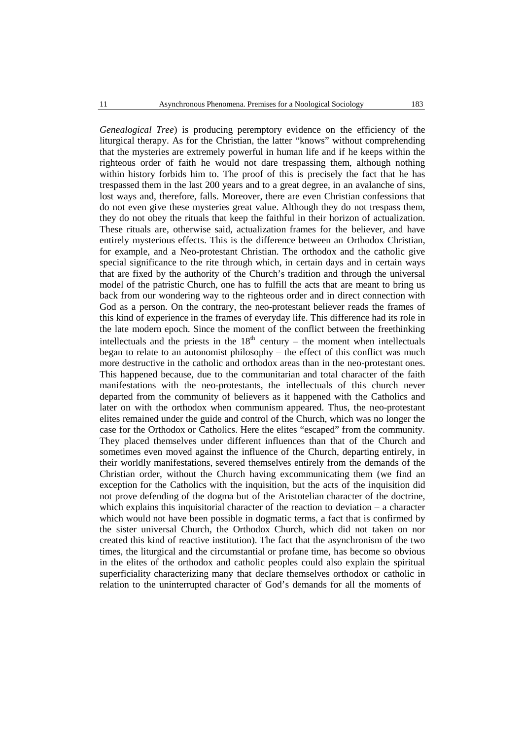*Genealogical Tree*) is producing peremptory evidence on the efficiency of the liturgical therapy. As for the Christian, the latter "knows" without comprehending that the mysteries are extremely powerful in human life and if he keeps within the righteous order of faith he would not dare trespassing them, although nothing within history forbids him to. The proof of this is precisely the fact that he has trespassed them in the last 200 years and to a great degree, in an avalanche of sins, lost ways and, therefore, falls. Moreover, there are even Christian confessions that do not even give these mysteries great value. Although they do not trespass them, they do not obey the rituals that keep the faithful in their horizon of actualization. These rituals are, otherwise said, actualization frames for the believer, and have entirely mysterious effects. This is the difference between an Orthodox Christian, for example, and a Neo-protestant Christian. The orthodox and the catholic give special significance to the rite through which, in certain days and in certain ways that are fixed by the authority of the Church's tradition and through the universal model of the patristic Church, one has to fulfill the acts that are meant to bring us back from our wondering way to the righteous order and in direct connection with God as a person. On the contrary, the neo-protestant believer reads the frames of this kind of experience in the frames of everyday life.This difference had its role in the late modern epoch. Since the moment of the conflict between the freethinking intellectuals and the priests in the  $18<sup>th</sup>$  century – the moment when intellectuals began to relate to an autonomist philosophy – the effect of this conflict was much more destructive in the catholic and orthodox areas than in the neo-protestant ones. This happened because, due to the communitarian and total character of the faith manifestations with the neo-protestants, the intellectuals of this church never departed from the community of believers as it happened with the Catholics and later on with the orthodox when communism appeared. Thus, the neo-protestant elites remained under the guide and control of the Church, which was no longer the case for the Orthodox or Catholics. Here the elites "escaped" from the community. They placed themselves under different influences than that of the Church and sometimes even moved against the influence of the Church, departing entirely, in their worldly manifestations, severed themselves entirely from the demands of the Christian order, without the Church having excommunicating them (we find an exception for the Catholics with the inquisition, but the acts of the inquisition did not prove defending of the dogma but of the Aristotelian character of the doctrine, which explains this inquisitorial character of the reaction to deviation – a character which would not have been possible in dogmatic terms, a fact that is confirmed by the sister universal Church, the Orthodox Church, which did not taken on nor created this kind of reactive institution). The fact that the asynchronism of the two times, the liturgical and the circumstantial or profane time, has become so obvious in the elites of the orthodox and catholic peoples could also explain the spiritual superficiality characterizing many that declare themselves orthodox or catholic in relation to the uninterrupted character of God's demands for all the moments of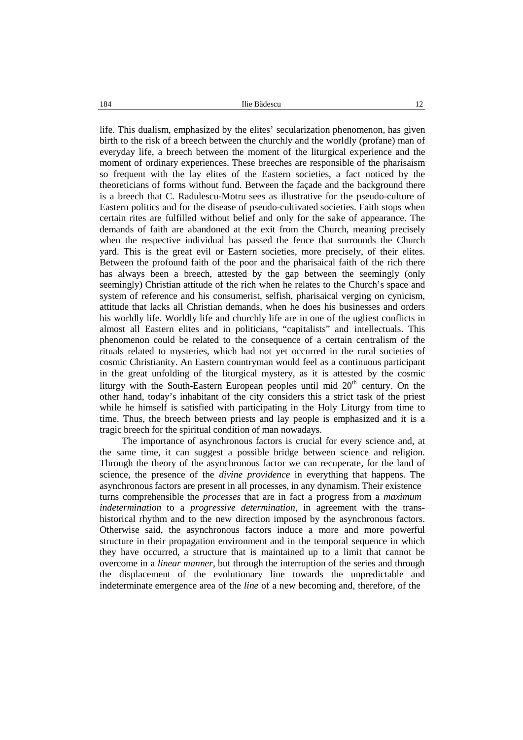184 Ilie B descu 12

life. This dualism, emphasized by the elites' secularization phenomenon, has given birth to the risk of a breech between the churchly and the worldly (profane) man of everyday life, a breech between the moment of the liturgical experience and the moment of ordinary experiences. These breeches are responsible of the pharisaism so frequent with the lay elites of the Eastern societies, a fact noticed by the theoreticians of forms without fund. Between the façade and the background there is a breech that C. Radulescu-Motru sees as illustrative for the pseudo-culture of Eastern politics and for the disease of pseudo-cultivated societies. Faith stops when certain rites are fulfilled without belief and only for the sake of appearance. The demands of faith are abandoned at the exit from the Church, meaning precisely when the respective individual has passed the fence that surrounds the Church yard. This is the great evil or Eastern societies, more precisely, of their elites. Between the profound faith of the poor and the pharisaical faith of the rich there has always been a breech, attested by the gap between the seemingly (only seemingly) Christian attitude of the rich when he relates to the Church's space and system of reference and his consumerist, selfish, pharisaical verging on cynicism, attitude that lacks all Christian demands, when he does his businesses and orders his worldly life. Worldly life and churchly life are in one of the ugliest conflicts in almost all Eastern elites and in politicians, "capitalists" and intellectuals. This phenomenon could be related to the consequence of a certain centralism of the rituals related to mysteries, which had not yet occurred in the rural societies of cosmic Christianity. An Eastern countryman would feel as a continuous participant in the great unfolding of the liturgical mystery, as it is attested by the cosmic liturgy with the South-Eastern European peoples until mid  $20<sup>th</sup>$  century. On the other hand, today's inhabitant of the city considers this a strict task of the priest while he himself is satisfied with participating in the Holy Liturgy from time to time. Thus, the breech between priests and lay people is emphasized and it is a tragic breech for the spiritual condition of man nowadays.

The importance of asynchronous factors is crucial for every science and, at the same time, it can suggest a possible bridge between science and religion. Through the theory of the asynchronous factor we can recuperate, for the land of science, the presence of the *divine providence* in everything that happens. The asynchronousfactors are present in all processes, in any dynamism. Their existence turns comprehensible the *processes* that are in fact a progress from a *maximum indetermination* to a *progressive determination*, in agreement with the trans historical rhythm and to the new direction imposed by the asynchronous factors. Otherwise said, the asynchronous factors induce a more and more powerful structure in their propagation environment and in the temporal sequence in which they have occurred, a structure that is maintained up to a limit that cannot be overcome in a *linear manner*, but through the interruption of the series and through the displacement of the evolutionary line towards the unpredictable and indeterminate emergence area of the *line* of a new becoming and, therefore, of the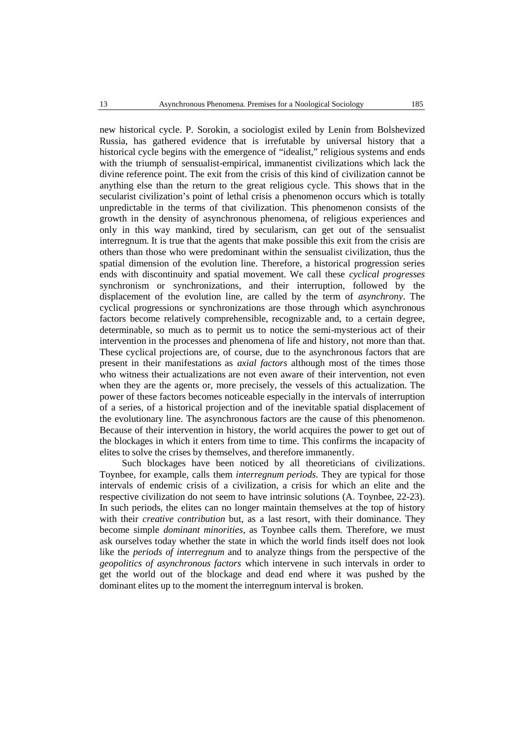new historical cycle. P. Sorokin, a sociologist exiled by Lenin from Bolshevized Russia, has gathered evidence that is irrefutable by universal history that a historical cycle begins with the emergence of "idealist," religious systems and ends with the triumph of sensualist-empirical, immanentist civilizations which lack the divine reference point. The exit from the crisis of this kind of civilization cannot be anything else than the return to the great religious cycle. This shows that in the secularist civilization's point of lethal crisis a phenomenon occurs which is totally unpredictable in the terms of that civilization. This phenomenon consists of the growth in the density of asynchronous phenomena, of religious experiences and only in this way mankind, tired by secularism, can get out of the sensualist interregnum. It is true that the agents that make possible this exit from the crisis are others than those who were predominant within the sensualist civilization, thus the spatial dimension of the evolution line. Therefore, a historical progression series ends with discontinuity and spatial movement. We call these *cyclical progresses* synchronism or synchronizations, and their interruption, followed by the displacement of the evolution line, are called by the term of *asynchrony*. The cyclical progressions or synchronizations are those through which asynchronous factors become relatively comprehensible, recognizable and, to a certain degree, determinable, so much as to permit us to notice the semi-mysterious act of their intervention in the processes and phenomena of life and history, not more than that. These cyclical projections are, of course, due to the asynchronous factors that are present in their manifestations as *axial factors* although most of the times those who witness their actualizations are not even aware of their intervention, not even when they are the agents or, more precisely, the vessels of this actualization. The power of these factors becomes noticeable especially in the intervals of interruption of a series, of a historical projection and of the inevitable spatial displacement of the evolutionary line. The asynchronous factors are the cause of this phenomenon. Because of their intervention in history, the world acquires the power to get out of the blockages in which it enters from time to time. This confirms the incapacity of elites to solve the crises by themselves, and therefore immanently.

Such blockages have been noticed by all theoreticians of civilizations. Toynbee, for example, calls them *interregnum periods*. They are typical for those intervals of endemic crisis of a civilization, a crisis for which an elite and the respective civilization do not seem to have intrinsic solutions (A. Toynbee, 22-23). In such periods, the elites can no longer maintain themselves at the top of history with their *creative contribution* but, as a last resort, with their dominance. They become simple *dominant minorities*, as Toynbee calls them. Therefore, we must ask ourselves today whether the state in which the world finds itself does not look like the *periods of interregnum* and to analyze things from the perspective of the *geopolitics of asynchronous factors* which intervene in such intervals in order to get the world out of the blockage and dead end where it was pushed by the dominant elites up to the moment the interregnum interval is broken.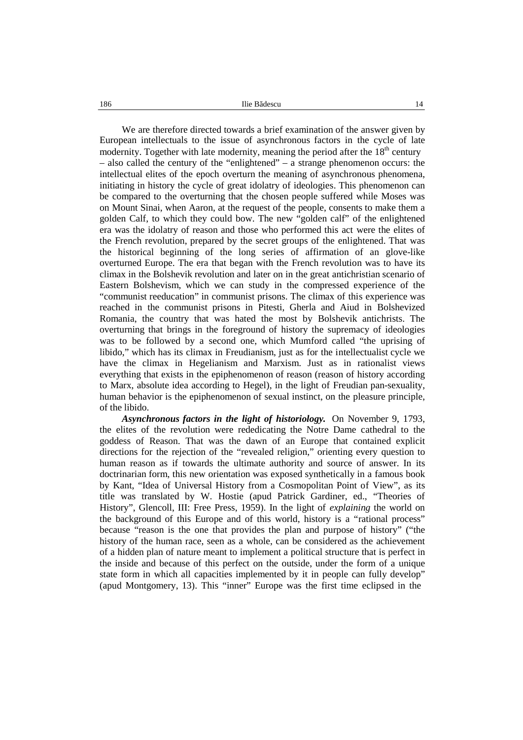186 **Ilie B** descu 14

We are therefore directed towards a brief examination of the answer given by European intellectuals to the issue of asynchronous factors in the cycle of late modernity. Together with late modernity, meaning the period after the  $18<sup>th</sup>$  century – also called the century of the "enlightened" – a strange phenomenon occurs: the intellectual elites of the epoch overturn the meaning of asynchronous phenomena, initiating in history the cycle of great idolatry of ideologies. This phenomenon can be compared to the overturning that the chosen people suffered while Moses was on Mount Sinai, when Aaron, at the request of the people, consents to make them a golden Calf, to which they could bow. The new "golden calf" of the enlightened era was the idolatry of reason and those who performed this act were the elites of the French revolution, prepared by the secret groups of the enlightened. That was the historical beginning of the long series of affirmation of an glove-like overturned Europe. The era that began with the French revolution was to have its climax in the Bolshevik revolution and later on in the great antichristian scenario of Eastern Bolshevism, which we can study in the compressed experience of the "communist reeducation" in communist prisons. The climax of this experience was reached in the communist prisons in Pitesti, Gherla and Aiud in Bolshevized Romania, the country that was hated the most by Bolshevik antichrists. The overturning that brings in the foreground of history the supremacy of ideologies was to be followed by a second one, which Mumford called "the uprising of libido," which has its climax in Freudianism, just as for the intellectualist cycle we have the climax in Hegelianism and Marxism. Just as in rationalist views everything that exists in the epiphenomenon of reason (reason of history according to Marx, absolute idea according to Hegel), in the light of Freudian pan-sexuality, human behavior is the epiphenomenon of sexual instinct, on the pleasure principle, of the libido.

*Asynchronous factors in the light of historiology.* On November 9, 1793, the elites of the revolution were rededicating the Notre Dame cathedral to the goddess of Reason. That was the dawn of an Europe that contained explicit directions for the rejection of the "revealed religion," orienting every question to human reason as if towards the ultimate authority and source of answer. In its doctrinarian form, this new orientation was exposed synthetically in a famous book by Kant, "Idea of Universal History from a Cosmopolitan Point of View", as its title was translated by W. Hostie (apud Patrick Gardiner, ed., "Theories of History", Glencoll, III: Free Press, 1959). In the light of *explaining* the world on the background of this Europe and of this world, history is a "rational process" because "reason is the one that provides the plan and purpose of history" ("the history of the human race, seen as a whole, can be considered as the achievement of a hidden plan of nature meant to implement a political structure that is perfect in the inside and because of this perfect on the outside, under the form of a unique state form in which all capacities implemented by it in people can fully develop" (apud Montgomery, 13). This "inner" Europe was the first time eclipsed in the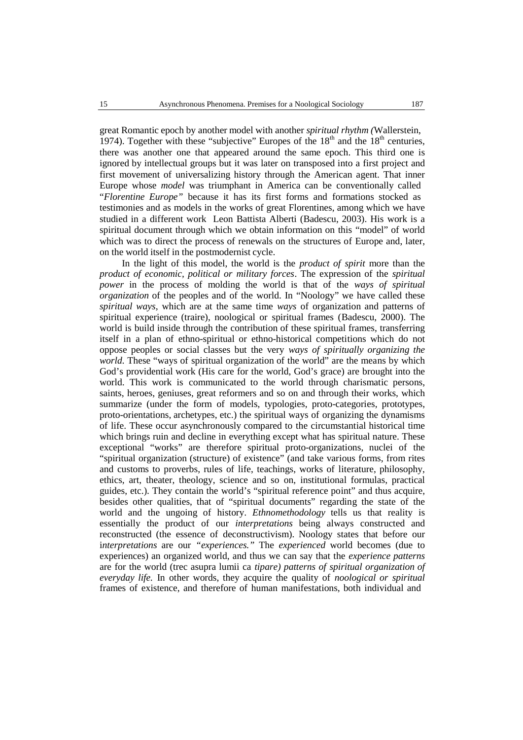great Romantic epoch by another model with another *spiritual rhythm (*Wallerstein, 1974). Together with these "subjective" Europes of the  $18<sup>th</sup>$  and the  $18<sup>th</sup>$  centuries, there was another one that appeared around the same epoch. This third one is ignored by intellectual groups but it was later on transposed into a first project and first movement of universalizing history through the American agent. That inner Europe whose *model* was triumphant in America can be conventionally called "*Florentine Europe"* because it has its first forms and formations stocked as testimonies and as models in the works of great Florentines, among which we have studied in a different work Leon Battista Alberti (Badescu, 2003). His work is a spiritual document through which we obtain information on this "model" of world which was to direct the process of renewals on the structures of Europe and, later, on the world itself in the postmodernist cycle.

In the light of this model, the world is the *product of spirit* more than the *product of economic, political or military forces*. The expression of the *spiritual power* in the process of molding the world is that of the *ways of spiritual organization* of the peoples and of the world. In "Noology" we have called these *spiritual ways*, which are at the same time *ways* of organization and patterns of spiritual experience (traire), noological or spiritual frames (Badescu, 2000). The world is build inside through the contribution of these spiritual frames, transferring itself in a plan of ethno-spiritual or ethno-historical competitions which do not oppose peoples or social classes but the very *ways of spiritually organizing the world.* These "ways of spiritual organization of the world" are the means by which God's providential work (His care for the world, God's grace) are brought into the world. This work is communicated to the world through charismatic persons, saints, heroes, geniuses, great reformers and so on and through their works, which summarize (under the form of models, typologies, proto-categories, prototypes, proto-orientations, archetypes, etc.) the spiritual ways of organizing the dynamisms of life. These occur asynchronously compared to the circumstantial historical time which brings ruin and decline in everything except what has spiritual nature. These exceptional "works" are therefore spiritual proto-organizations, nuclei of the "spiritual organization (structure) of existence" (and take various forms, from rites and customs to proverbs, rules of life, teachings, works of literature, philosophy, ethics, art, theater, theology, science and so on, institutional formulas, practical guides, etc.). They contain the world's "spiritual reference point" and thus acquire, besides other qualities, that of "spiritual documents" regarding the state of the world and the ungoing of history. *Ethnomethodology* tells us that reality is essentially the product of our *interpretations* being always constructed and reconstructed (the essence of deconstructivism). Noology states that before our i*nterpretations* are our *"experiences."* The *experienced* world becomes (due to experiences) an organized world, and thus we can say that the *experience patterns* are for the world (trec asupra lumii ca *tipare) patterns of spiritual organization of everyday life.* In other words, they acquire the quality of*noological or spiritual* frames of existence, and therefore of human manifestations, both individual and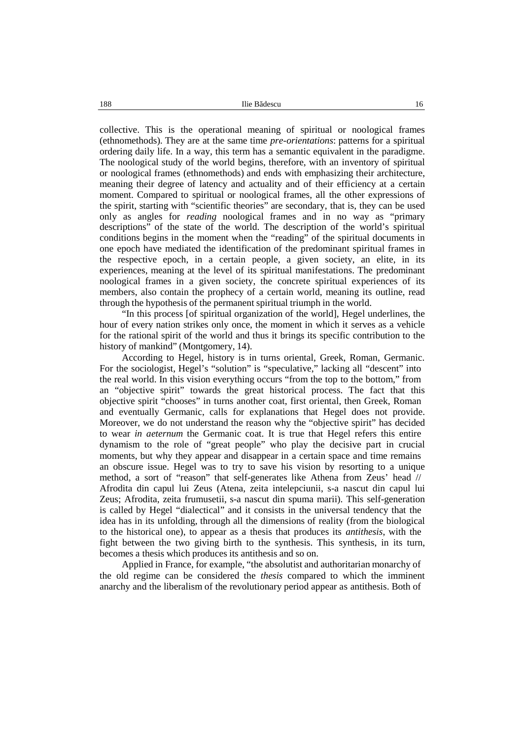collective. This is the operational meaning of spiritual or noological frames (ethnomethods). They are at the same time *pre-orientations*: patterns for a spiritual ordering daily life. In a way, this term has a semantic equivalent in the paradigme. The noological study of the world begins, therefore, with an inventory of spiritual or noological frames (ethnomethods) and ends with emphasizing their architecture, meaning their degree of latency and actuality and of their efficiency at a certain moment. Compared to spiritual or noological frames, all the other expressions of the spirit, starting with "scientific theories" are secondary, that is, they can be used only as angles for *reading* noological frames and in no way as "primary descriptions" of the state of the world. The description of the world's spiritual conditions begins in the moment when the "reading" of the spiritual documents in one epoch have mediated the identification of the predominant spiritual frames in the respective epoch, in a certain people, a given society, an elite, in its experiences, meaning at the level of its spiritual manifestations. The predominant noological frames in a given society, the concrete spiritual experiences of its members, also contain the prophecy of a certain world, meaning its outline, read through the hypothesis of the permanent spiritual triumph in the world.

"In this process [of spiritual organization of the world], Hegel underlines, the hour of every nation strikes only once, the moment in which it serves as a vehicle for the rational spirit of the world and thus it brings its specific contribution to the history of mankind" (Montgomery, 14).

According to Hegel, history is in turns oriental, Greek, Roman, Germanic. For the sociologist, Hegel's "solution" is "speculative," lacking all "descent" into the real world. In this vision everything occurs "from the top to the bottom," from an "objective spirit" towards the great historical process. The fact that this objective spirit "chooses" in turns another coat, first oriental, then Greek, Roman and eventually Germanic, calls for explanations that Hegel does not provide. Moreover, we do not understand the reason why the "objective spirit" has decided to wear *in aeternum* the Germanic coat. It is true that Hegel refers this entire dynamism to the role of "great people" who play the decisive part in crucial moments, but why they appear and disappear in a certain space and time remains an obscure issue. Hegel was to try to save his vision by resorting to a unique method, a sort of "reason" that self-generates like Athena from Zeus' head // Afrodita din capul lui Zeus (Atena, zeita intelepciunii, s-a nascut din capul lui Zeus; Afrodita, zeita frumusetii, s-a nascut din spuma marii). This self-generation is called by Hegel "dialectical" and it consists in the universal tendency that the idea has in its unfolding, through all the dimensions of reality (from the biological to the historical one), to appear as a thesis that produces its *antithesis*, with the fight between the two giving birth to the synthesis. This synthesis, in its turn, becomes a thesis which produces its antithesis and so on.

Applied in France, for example, "the absolutist and authoritarian monarchy of the old regime can be considered the *thesis* compared to which the imminent anarchy and the liberalism of the revolutionary period appear as antithesis. Both of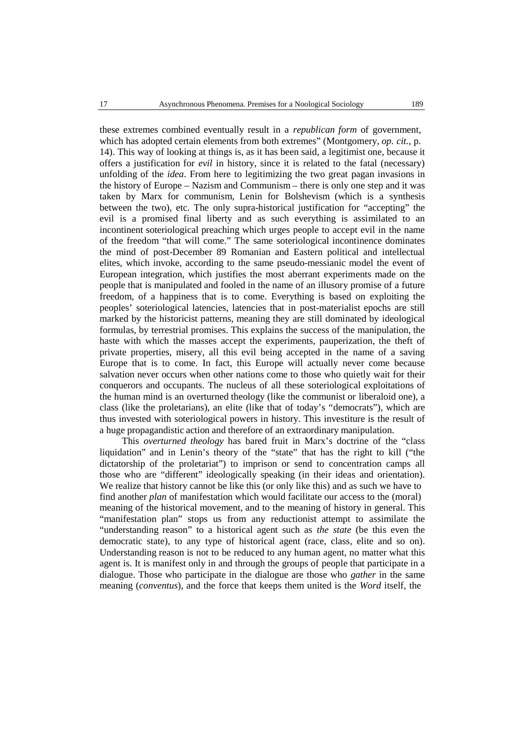these extremes combined eventually result in a *republican form* of government*,* which has adopted certain elements from bothextremes" (Montgomery, *op. cit.,* p. 14). This way of looking at things is, as ithas been said, a legitimist one, because it offers a justification for *evil* in history, since it is related to the fatal (necessary) unfolding of the *idea*. From here to legitimizing the two great pagan invasions in the history of Europe – Nazism and Communism – there is only one step and it was taken by Marx for communism, Lenin for Bolshevism (which is a synthesis between the two), etc. The only supra-historical justification for "accepting" the evil is a promised final liberty and as such everything is assimilated to an incontinent soteriological preaching which urges people to accept evil in the name of the freedom "that will come." The same soteriological incontinence dominates the mind of post-December 89 Romanian and Eastern political and intellectual elites, which invoke, according to the same pseudo-messianic model the event of European integration, which justifies the most aberrant experiments made on the people that is manipulated and fooled in the name of an illusory promise of a future freedom, of a happiness that is to come. Everything is based on exploiting the peoples' soteriological latencies, latencies that in post-materialist epochs are still marked by the historicist patterns, meaning they are still dominated by ideological formulas, by terrestrial promises. This explains the success of the manipulation, the haste with which the masses accept the experiments, pauperization, the theft of private properties, misery, all this evil being accepted in the name of a saving Europe that is to come. In fact, this Europe will actually never come because salvation never occurs when other nations come to those who quietly wait for their conquerors and occupants. The nucleus of all these soteriological exploitations of the human mind is an overturned theology (like the communist or liberaloid one), a class (like the proletarians), an elite (like that of today's "democrats"), which are thus invested with soteriological powers in history. This investiture is the result of a huge propagandistic action and therefore of an extraordinary manipulation.

This *overturned theology* has bared fruit in Marx's doctrine of the "class liquidation" and in Lenin's theory of the "state" that has the right to kill ("the dictatorship of the proletariat") to imprison or send to concentration camps all those who are "different" ideologically speaking (in their ideas and orientation). We realize that history cannot be like this (or only like this) and as such we have to find another *plan* of manifestation which would facilitate our access to the (moral) meaning of the historical movement, and to the meaning of history in general. This "manifestation plan" stops us from anyreductionist attempt to assimilate the "understanding reason" to a historical agent such as *the state* (be this even the democratic state), to any type of historical agent (race, class, elite and so on). Understanding reason is not to be reduced to any human agent, no matter what this agent is. It is manifest only in and through the groups of people that participate in a dialogue. Those who participate in the dialogue are those who *gather* in the same meaning (*conventus*), and the force that keeps them united is the *Word* itself, the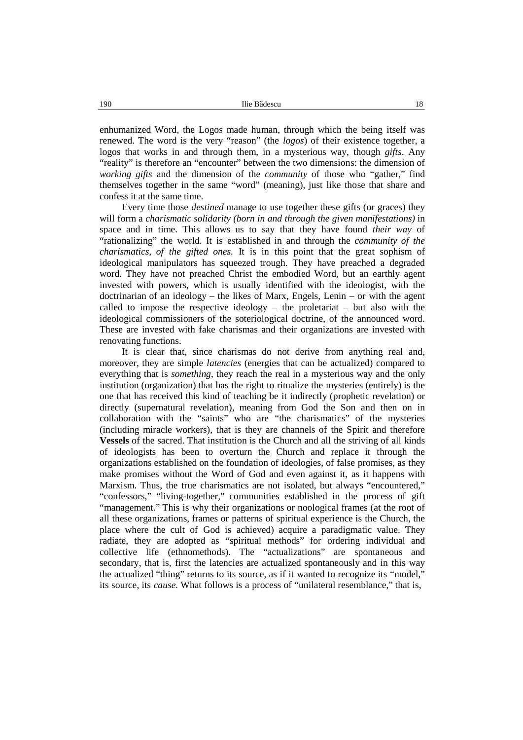enhumanized Word, the Logos made human, through which the being itself was renewed. The word is the very "reason" (the *logos*) of their existence together, a logos that works in and through them, in a mysterious way, though *gifts*. Any "reality" is therefore an "encounter" between the two dimensions: the dimension of *working gifts* and the dimension of the *community* of those who "gather," find themselves together in the same "word" (meaning), just like those that share and confess it at the same time.

Every time those *destined* manage to use together these gifts (or graces) they will form a *charismatic solidarity (born in and through the given manifestations)* in space and in time. This allows us to say that they have found *their way* of "rationalizing" the world. It is established in and through the *community* of the *charismatics, of the gifted ones.* It is in this point that the great sophism of ideological manipulators has squeezed trough. They have preached a degraded word. They have not preached Christ the embodied Word, but an earthly agent invested with powers, which is usually identified with the ideologist, with the doctrinarian of an ideology – the likes of Marx, Engels, Lenin – or with the agent called to impose the respective ideology – the proletariat – but also with the ideological commissioners of the soteriological doctrine, of the announced word. These are invested with fake charismas and their organizations are invested with renovating functions.

It is clear that, since charismas do not derive from anything real and, moreover, they are simple *latencies* (energies that can be actualized) compared to everything that is *something*, they reach the real in a mysterious way and the only institution (organization) that has the right to ritualize the mysteries (entirely) is the one that has received this kind of teaching be it indirectly (prophetic revelation) or directly (supernatural revelation), meaning from God the Son and then on in collaboration with the "saints" who are "the charismatics" of the mysteries (including miracle workers), that is they are channels of the Spirit and therefore **Vessels** of the sacred. That institution is the Church and all the striving of all kinds of ideologists has been to overturn the Church and replace it through the organizations established on the foundation of ideologies, of false promises, as they make promises without the Word of God and even against it, as it happens with Marxism. Thus, the true charismatics are not isolated, but always "encountered," "confessors," "living-together," communities established in the process of gift "management." This is why their organizations or noological frames (at the root of all these organizations, frames or patterns of spiritual experience is the Church, the place where the cult of God is achieved) acquire a paradigmatic value. They radiate, they are adopted as "spiritual methods" for ordering individual and collective life (ethnomethods). The "actualizations" are spontaneous and secondary, that is, first the latencies are actualized spontaneously and in this way the actualized "thing" returns to its source, as if it wanted to recognize its "model," its source, its *cause.* What follows is a process of "unilateral resemblance," that is,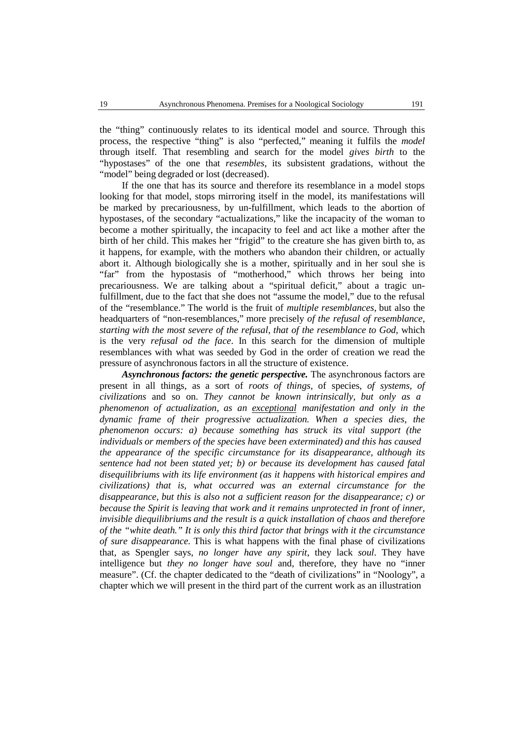the "thing" continuously relates to its identical model and source. Through this process, the respective "thing" is also "perfected," meaning it fulfils the *model* through itself*.* That resembling and search for the model *gives birth* to the "hypostases" of the one that *resembles*, its subsistent gradations, without the "model" being degraded or lost (decreased).

If the one that has its source and therefore its resemblance in a model stops looking for that model, stops mirroring itself in the model, its manifestations will be marked by precariousness, by un-fulfillment, which leads to the abortion of hypostases, of the secondary "actualizations," like the incapacity of the woman to become a mother spiritually, the incapacity to feel and act like a mother after the birth of her child. This makes her "frigid" to the creature she has given birth to, as it happens, for example, with the mothers who abandon their children, or actually abort it. Although biologically she is a mother, spiritually and in her soul she is "far" from the hypostasis of "motherhood," which throws her being into precariousness. We are talking about a "spiritual deficit," about a tragic unfulfillment, due to the fact that she does not "assume the model," due to the refusal of the "resemblance." The world is the fruit of *multiple resemblances*, but also the headquarters of "non-resemblances," more precisely *of the refusal of resemblance, starting with the most severe of the refusal, that of the resemblance to God,* which is the very *refusal od the face*. In this search for the dimension of multiple resemblances with what was seeded by God in the order of creation we read the pressure of asynchronous factors in all the structure of existence.

*Asynchronous factors: the genetic perspective.* The asynchronous factors are present in all things, as a sort of *roots of things*, of species, *of systems, of civilizations* and so on.*They cannot be known intrinsically, but only as a phenomenon of actualization, as an exceptional manifestation and only in the dynamic frame of their progressive actualization. When a species dies, the phenomenon occurs: a) because something has struck its vital support (the individuals or members of the species have been exterminated) and this has caused the appearance of the specific circumstance for its disappearance, although its sentence had notbeen stated yet; b) or because its development has caused fatal disequilibriums with its life environment (as ithappens with historical empires and civilizations) that is, what occurred was an external circumstance for the disappearance, but this is also not a sufficient reason for the disappearance; c) or because the Spirit is leaving that work and it remains unprotected in front of inner, invisible diequilibriums and the result is a quick installation of chaos and therefore of the "white death." It is only this third factor that brings with it the circumstance of sure disappearance.* This is what happens with the final phase of civilizations that, as Spengler says, *no longer have any spirit*, they lack *soul*. They have intelligence but *they no longer have soul* and, therefore, they have no "inner measure". (Cf. the chapter dedicated to the "death of civilizations" in "Noology", a chapter which we will present in the third part of the current work as an illustration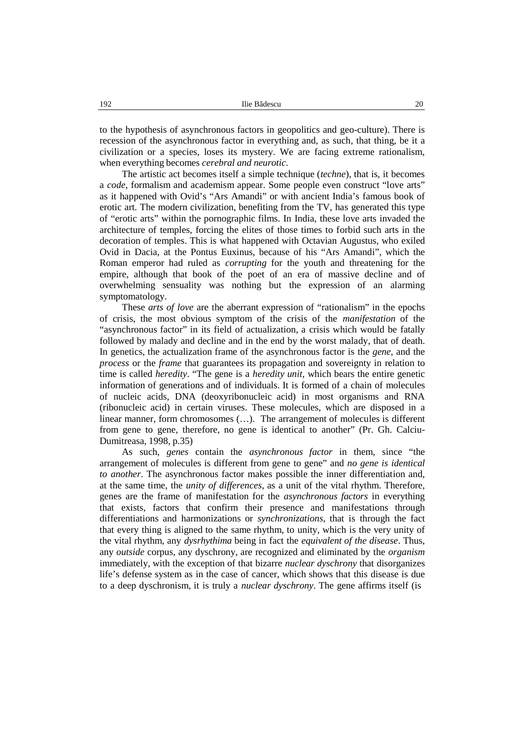to the hypothesis of asynchronous factors in geopolitics and geo-culture). There is recession of the asynchronous factor in everything and, as such, that thing, be it a civilization or a species, loses its mystery. We are facing extreme rationalism, when everything becomes *cerebral and neurotic*.

The artistic act becomes itself a simple technique (*techne*), that is, it becomes a *code*, formalism and academism appear. Some people even construct "love arts" as it happened with Ovid's "Ars Amandi" or with ancient India's famous book of erotic art. The modern civilization, benefiting from the TV, has generated this type of "erotic arts" within the pornographic films. In India, these love arts invaded the architecture of temples, forcing the elites of those times to forbid such arts in the decoration of temples. This is what happened with Octavian Augustus, who exiled Ovid in Dacia, at the Pontus Euxinus, because of his "Ars Amandi", which the Roman emperor had ruled as *corrupting* for the youth and threatening for the empire, although that book of the poet of an era of massive decline and of overwhelming sensuality was nothing but the expression of an alarming symptomatology.

These *arts of love* are the aberrant expression of "rationalism" in the epochs of crisis, the most obvious symptom of the crisis of the *manifestation* of the "asynchronous factor" in its field of actualization, a crisis which would be fatally followed by malady and decline and in the end by the worst malady, that of death. In genetics, the actualization frame of the asynchronous factor is the *gene*, and the *process* or the *frame* that guarantees its propagation and sovereignty in relation to time is called *heredity*. "The gene is a *heredity unit*, which bears the entire genetic information of generations and of individuals. It is formed of a chain of molecules of nucleic acids, DNA (deoxyribonucleic acid) in most organisms and RNA (ribonucleic acid) in certain viruses. These molecules, which are disposed in a linear manner, form chromosomes (…). The arrangement of molecules is different from gene to gene, therefore, no gene is identical to another" (Pr. Gh. Calciu- Dumitreasa, 1998*,* p.35)

As such, *genes* contain the *asynchronous factor* in them, since "the arrangement of molecules is different from gene to gene" and *no gene is identical to another*. The asynchronous factor makes possible the inner differentiation and, at the same time, the *unity of differences*, as a unit of the vital rhythm. Therefore, genes are the frame of manifestation for the *asynchronous factors* in everything that exists, factors that confirm their presence and manifestations through differentiations and harmonizations or *synchronizations*, that is through the fact that every thing is aligned to the same rhythm, to unity, which is the very unity of the vital rhythm, any *dysrhythima* being in fact the *equivalent of the disease*. Thus, any *outside* corpus, any dyschrony, are recognized and eliminated by the *organism* immediately, with the exception of that bizarre *nuclear dyschrony* that disorganizes life's defense system as in the case of cancer, which shows that this disease is due to a deep dyschronism, it is truly a *nuclear dyschrony*. The gene affirms itself (is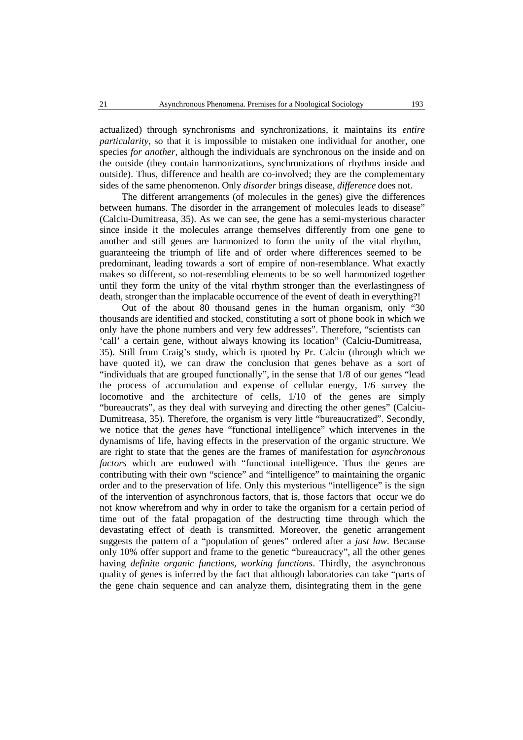actualized) through synchronisms and synchronizations, it maintains its *entire particularity*, so that it is impossible to mistaken one individual for another, one species *for another*, although the individuals are synchronous on the inside and on the outside (they contain harmonizations, synchronizations of rhythms inside and outside). Thus, difference and health are co-involved; they are the complementary sides of the same phenomenon. Only *disorder* brings disease, *difference* does not.

The different arrangements (of molecules in the genes) give the differences between humans. The disorder in the arrangement of molecules leads to disease" (Calciu-Dumitreasa, 35). As we can see, the gene has a semi-mysterious character since inside it the molecules arrange themselves differently from one gene to another and still genes are harmonized to form the unity of the vital rhythm, guaranteeing the triumph of life and of order where differences seemed to be predominant, leading towards a sort of empire of non-resemblance. What exactly makes so different, so not-resembling elements to be so well harmonized together until they form the unity of the vital rhythm stronger than the everlastingness of death, stronger than the implacable occurrence of the event of death in everything?!

Out of the about 80 thousand genes in the human organism, only "30 thousands are identified and stocked, constituting a sort of phone book in which we only have the phone numbers and very few addresses". Therefore, "scientists can 'call' a certain gene, without always knowing its location" (Calciu-Dumitreasa, 35). Still from Craig's study, which is quoted by Pr. Calciu (through which we have quoted it), we can draw the conclusion that genes behave as a sort of "individuals that are grouped functionally", in the sense that 1/8 of our genes "lead the process of accumulation and expense of cellular energy, 1/6 survey the locomotive and the architecture of cells, 1/10 of the genes are simply "bureaucrats", as they deal with surveying and directing the other genes" (Calciu- Dumitreasa, 35). Therefore, the organism is very little "bureaucratized". Secondly, we notice that the *genes* have "functional intelligence" which intervenes in the dynamisms of life, having effects in the preservation of the organic structure. We are right to state that the genes are the frames of manifestation for *asynchronous factors* which are endowed with "functional intelligence. Thus the genes are contributing with their own "science" and "intelligence" to maintaining the organic order and to the preservation of life. Only this mysterious "intelligence" is the sign of the intervention of asynchronous factors, that is, those factors that occur we do not know wherefrom and why in order to take the organism for a certain period of time out of the fatal propagation of the destructing time through which the devastating effect of death is transmitted. Moreover, the genetic arrangement suggests the pattern of a "population of genes" ordered after a *just law*. Because only 10% offer support and frame to the genetic "bureaucracy", all the other genes having *definite organic functions, working functions*. Thirdly, the asynchronous quality of genes is inferred by the fact that although laboratories can take "parts of the gene chain sequence and can analyze them, disintegrating them in the gene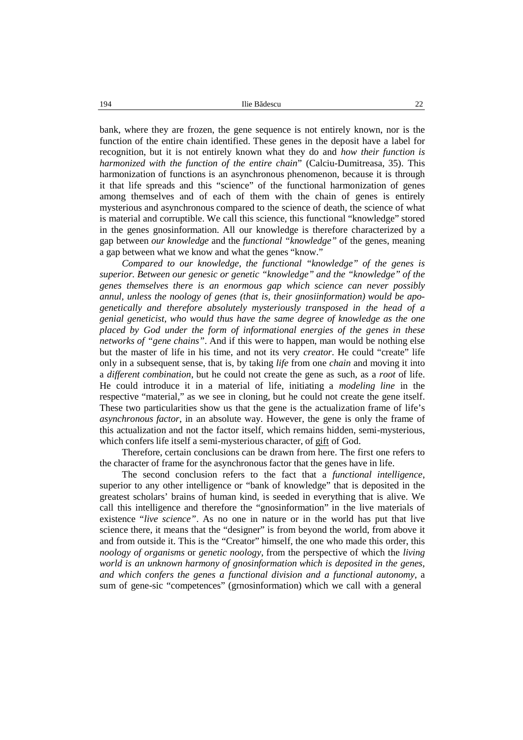bank, where they are frozen, the gene sequence is not entirely known, nor is the function of the entire chain identified. These genes in the deposit have a label for recognition, but it is not entirely known what they do and *how their function is harmonized with the function of the entire chain*" (Calciu-Dumitreasa, 35). This harmonization of functions is an asynchronous phenomenon, because it is through it that life spreads and this "science" of the functional harmonization of genes among themselves and of each of them with the chain of genes is entirely mysterious and asynchronous compared to the science of death, the science of what is material and corruptible. We call this science, this functional "knowledge" stored in the genes gnosinformation. All our knowledge is therefore characterized by a gap between *our knowledge* and the *functional "knowledge"* of the genes, meaning a gap between what we know andwhat the genes "know."

*Compared to our knowledge, the functional "knowledge" of the genes is superior. Between our genesic or genetic "knowledge" and the "knowledge" of the genes themselves there is an enormous gap which science can never possibly annul, unless the noology of genes (that is, their gnosiinformation) would be apo genetically and therefore absolutely mysteriously transposed in the head of a genial geneticist, who would thus have the same degree of knowledge as the one placed by God under the form of informational energies of the genes in these networks of "gene chains"*. And if this were to happen, man would be nothing else but the master of life in his time, and notits very *creator*. He could "create" life only in a subsequent sense, that is, by taking *life* from one *chain* and moving it into a *different combination*, but he could notcreate the gene as such, as a *root* of life. He could introduce it in a material of life, initiating a *modeling line* in the respective "material," as we see in cloning, but he could not create the gene itself. These two particularities show us that the gene is the actualization frame of life's *asynchronous factor*, in an absolute way. However, the gene is only the frame of this actualization and not the factor itself, which remains hidden, semi-mysterious, which confers life itself a semi-mysterious character, of gift of God.

Therefore, certain conclusions can be drawn from here. The first one refers to the character of frame for the asynchronous factor that the genes have in life.

The second conclusion refers to the fact that a *functional intelligence*, superior to any other intelligence or "bank of knowledge" that is deposited in the greatest scholars' brains of human kind, is seeded in everything that is alive. We call this intelligence and therefore the "gnosinformation" in the live materials of existence "*live science"*. As no one in nature or in the world has put that live science there, it means that the "designer" is from beyond the world, from above it and from outside it. This is the "Creator" himself, the one who made this order, this *noology of organisms* or *genetic noology*, from the perspective of which the *living world is an unknown harmony of gnosinformation which is deposited in the genes, and which confers the genes a functional division and a functional autonomy*, a sum of gene-sic "competences" (grnosinformation) which we call with a general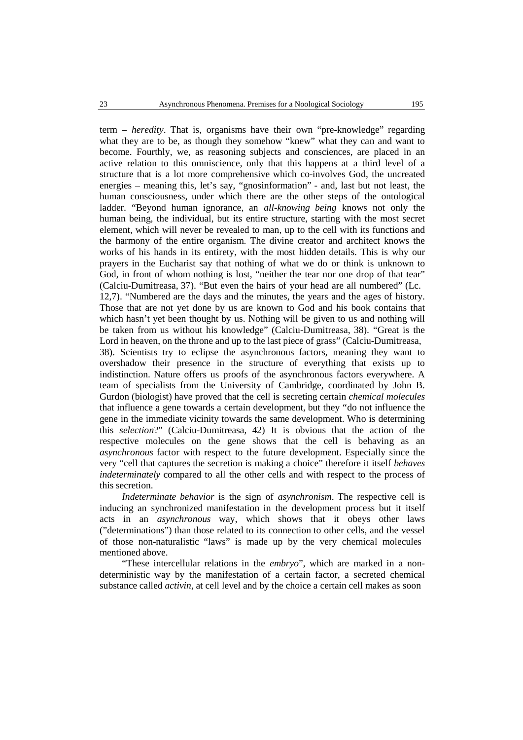term – *heredity*. That is, organisms have their own "pre-knowledge" regarding what they are to be, as though they somehow "knew" what they can and want to become. Fourthly, we, as reasoning subjects and consciences, are placed in an active relation to this omniscience, only that this happens at a third level of a structure that is a lot more comprehensive which co-involves God, the uncreated energies – meaning this, let's say, "gnosinformation" - and, last but not least, the human consciousness, under which there are the other steps of the ontological ladder. "Beyond human ignorance, an *all-knowing being* knows not only the human being, the individual, but its entire structure, starting with the most secret element, which will never be revealed to man, up to the cell with its functions and the harmony of the entire organism. The divine creator and architect knows the works of his hands in its entirety, with the most hidden details. This is why our prayers in the Eucharist say that nothing ofwhat we do or think is unknown to God, in front of whom nothing is lost, "neither the tear nor one drop of that tear" (Calciu-Dumitreasa, 37). "But even the hairs of your head are all numbered" (Lc. 12,7). "Numbered are the days and the minutes, the years and the ages of history. Those that are not yet done by us are known to God and his book contains that which hasn't yet been thought by us. Nothing will be given to us and nothing will be taken from us without his knowledge" (Calciu-Dumitreasa, 38). "Great is the Lord in heaven, on the throne and up to the last piece of grass" (Calciu-Dumitreasa, 38). Scientists try to eclipse the asynchronous factors, meaning they want to overshadow their presence in the structure of everything that exists up to indistinction. Nature offers us proofs of the asynchronous factors everywhere. A team of specialists from the University of Cambridge, coordinated by John B. Gurdon (biologist) have proved that the cell is secreting certain *chemical molecules* that influence a gene towards a certain development, but they "do not influence the gene in the immediate vicinity towards the same development. Who is determining this *selection*?" (Calciu-Dumitreasa, 42) It is obvious that the action of the respective molecules on the gene shows that the cell is behaving as an *asynchronous* factor with respect to the future development. Especially since the very "cell that captures the secretion is making a choice" therefore it itself *behaves indeterminately* compared to all the other cells and with respect to the process of this secretion.

*Indeterminate behavior* is the sign of *asynchronism*. The respective cell is inducing an synchronized manifestation in the development process but it itself acts in an *asynchronous* way, which shows that it obeys other laws ("determinations") than those related to its connection to other cells, and the vessel of those non-naturalistic "laws" is made up by the very chemical molecules mentioned above.

"These intercellular relations in the *embryo*", which are marked in a non deterministic way by the manifestation of a certain factor, a secreted chemical substance called *activin*, at cell level and by the choice a certain cell makes as soon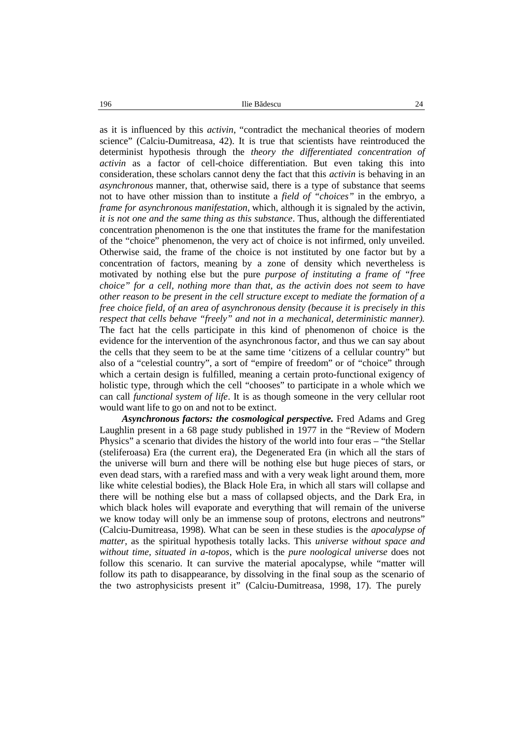as it is influenced by this *activin*, "contradict the mechanical theories of modern science" (Calciu-Dumitreasa, 42). It is true that scientists have reintroduced the determinist hypothesis through the *theory the differentiated concentration of activin* as a factor of cell-choice differentiation. But even taking this into consideration, these scholars cannot deny the fact that this *activin* is behaving in an *asynchronous* manner, that, otherwise said, there is a type of substance that seems not to have other mission than to institute a *field of "choices"* in the embryo, a *frame for asynchronous manifestation*, which, although it is signaled by the activin, *it is not one and the same thing as this substance*. Thus, although the differentiated concentration phenomenon is the one that institutes the frame for the manifestation of the "choice" phenomenon, the very act of choice is not infirmed, only unveiled. Otherwise said, the frame of the choice is not instituted by one factor but by a concentration of factors, meaning by a zone of density which nevertheless is motivated by nothing else but the pure *purpose of instituting a frame of "free choice" for a cell, nothing more than that, as the activin does not seem to have other reason to be present in the cell structure except to mediate the formation of a free choice field, of an area of asynchronous density (because it is precisely in this respect that cells behave "freely" and not in a mechanical, deterministic manner).* The fact hat the cells participate in this kind of phenomenon of choice is the evidence for the intervention of the asynchronous factor, and thus we can say about the cells that they seem to be at the same time 'citizens of a cellular country" but also of a "celestial country", a sort of "empire of freedom" or of "choice" through which a certain design is fulfilled, meaning a certain proto-functional exigency of holistic type, through which the cell "chooses" to participate in a whole which we can call *functional system of life*. It is as though someone in the very cellular root would want life to go on and not to be extinct.

*Asynchronous factors: the cosmological perspective.* Fred Adams and Greg Laughlin present in a 68 page study published in 1977 in the "Review of Modern Physics" a scenario that divides the history of the world into four eras – "the Stellar (steliferoasa) Era (the current era), the Degenerated Era (in which all the stars of the universe will burn and there will be nothing else but huge pieces of stars, or even dead stars, with a rarefied mass and with a very weak light around them, more like white celestial bodies), the Black Hole Era, in which all stars will collapse and there will be nothing else but a mass of collapsed objects, and the Dark Era, in which black holes will evaporate and everything that will remain of the universe we know today will only be an immense soup of protons, electrons and neutrons" (Calciu-Dumitreasa, 1998)*.* What can be seen in these studies is the *apocalypse of matter*, as the spiritual hypothesis totally lacks. This *universe without space and without time, situated in a-topos*, which is the *pure noological universe* does not follow this scenario. It can survive the material apocalypse, while "matter will follow its path to disappearance, by dissolving in the final soup as the scenario of the two astrophysicists present it" (Calciu-Dumitreasa, 1998, 17). The purely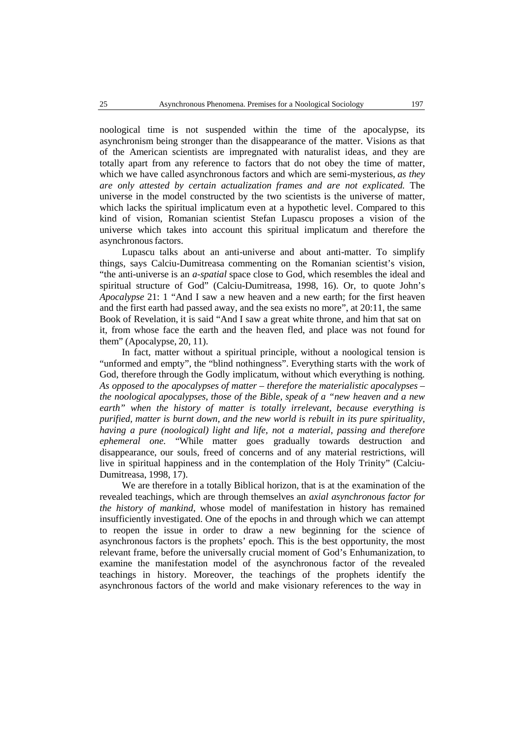noological time is not suspended within the time of the apocalypse, its asynchronism being stronger than the disappearance of the matter. Visions as that of the American scientists are impregnated with naturalist ideas, and they are totally apart from any reference to factors that do notobey the time of matter, which we have called asynchronous factors and which are semi-mysterious, *as they are only attested by certain actualization frames and are not explicated.* The universe in the model constructed by the two scientists is the universe of matter, which lacks the spiritual implicatum even at a hypothetic level. Compared to this kind of vision, Romanian scientist Stefan Lupascu proposes a vision of the universe which takes into account this spiritual implicatum and therefore the asynchronous factors.

Lupascu talks about an anti-universe and about anti-matter. To simplify things, says Calciu-Dumitreasa commenting on the Romanian scientist's vision, "the anti-universe is an *a-spatial* space close to God, which resembles the ideal and spiritual structure of God" (Calciu-Dumitreasa, 1998, 16). Or, to quote John's *Apocalypse* 21: 1 "And I saw a new heaven and a new earth; for the first heaven and the first earth had passed away, and the sea exists no more", at 20:11, the same Book of Revelation, it is said "And I saw a great white throne, and him that sat on it, from whose face the earth and the heaven fled, and place was not found for them" (Apocalypse, 20, 11).

In fact, matter without a spiritual principle, without a noological tension is "unformed and empty", the "blind nothingness". Everything starts with the work of God, therefore through the Godly implicatum, without which everything is nothing. *As opposed to the apocalypses of matter – therefore the materialistic apocalypses – the noological apocalypses, those of the Bible, speak of a "new heaven and a new earth" when the history of matter is totally irrelevant, because everything is purified, matter is burnt down, and the new world is rebuilt in its pure spirituality, having a pure (noological) light and life, not a material, passing and therefore ephemeral one.* "While matter goes gradually towards destruction and disappearance, our souls, freed of concerns and of any material restrictions, will live in spiritual happiness and in the contemplation of the Holy Trinity" (Calciu- Dumitreasa, 1998, 17).

We are therefore in a totally Biblical horizon, that is at the examination of the revealed teachings, which are through themselves an *axial asynchronous factor for the history of mankind*, whose model of manifestation in history has remained insufficiently investigated. One of the epochs in and through which we can attempt to reopen the issue in order to draw a new beginning for the science of asynchronous factors is the prophets' epoch. This is the best opportunity, the most relevant frame, before the universally crucial moment of God's Enhumanization, to examine the manifestation model of the asynchronous factor of the revealed teachings in history. Moreover, the teachings of the prophets identify the asynchronous factors of the world and make visionary references to the way in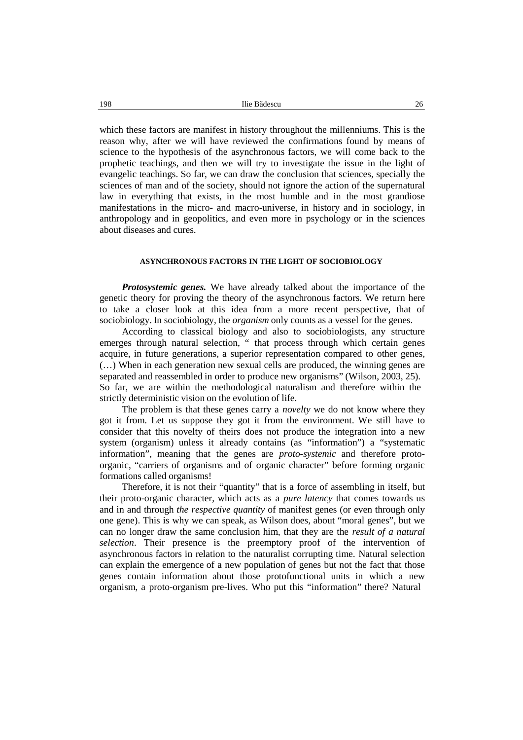which these factors are manifest in history throughout the millenniums. This is the reason why, after we will have reviewed the confirmations found by means of science to the hypothesis of the asynchronous factors, we will come back to the prophetic teachings, and then we will try to investigate the issue in the light of evangelic teachings. So far, we can draw the conclusion that sciences, specially the sciences of man and of the society, should not ignore the action of the supernatural law in everything that exists, in the most humble and in the most grandiose manifestations in the micro- and macro-universe, in history and in sociology, in anthropology and in geopolitics, and even more in psychology or in the sciences about diseases and cures.

## **ASYNCHRONOUS FACTORS IN THE LIGHT OF SOCIOBIOLOGY**

*Protosystemic genes.* We have already talked about the importance of the genetic theory for proving the theory of the asynchronous factors. We return here to take a closer look at this idea from a more recent perspective, that of sociobiology. In sociobiology, the *organism* only counts as a vessel for the genes.

According to classical biology and also to sociobiologists, any structure emerges through natural selection, " that process through which certain genes acquire, in future generations, a superior representation compared to other genes, (…) When in each generation new sexual cells are produced, the winning genes are separated and reassembled in order to produce new organisms" (Wilson, 2003, 25). So far, we are within the methodological naturalism and therefore within the strictly deterministic vision on the evolution of life.

The problem is that these genes carry a *novelty* we do not know where they got it from. Let us suppose they got it from the environment. We still have to consider that this novelty of theirs does not produce the integration into a new system (organism) unless it already contains (as "information") a "systematic information", meaning that the genes are *proto-systemic* and therefore proto organic, "carriers of organisms and of organic character" before forming organic formations called organisms!

Therefore, it is not their "quantity" that is a force of assembling in itself, but their proto-organic character, which acts as a *pure latency* that comes towards us and in and through *the respective quantity* of manifest genes (or even through only one gene). This is why we can speak, as Wilson does, about "moral genes", but we can no longer draw the same conclusion him, that they are the *result of a natural selection*. Their presence is the preemptory proof of the intervention of asynchronous factors in relation to the naturalist corrupting time. Natural selection can explain the emergence of a new population of genes but not the fact that those genes contain information about those protofunctional units in which a new organism, a proto-organism pre-lives. Who putthis "information" there? Natural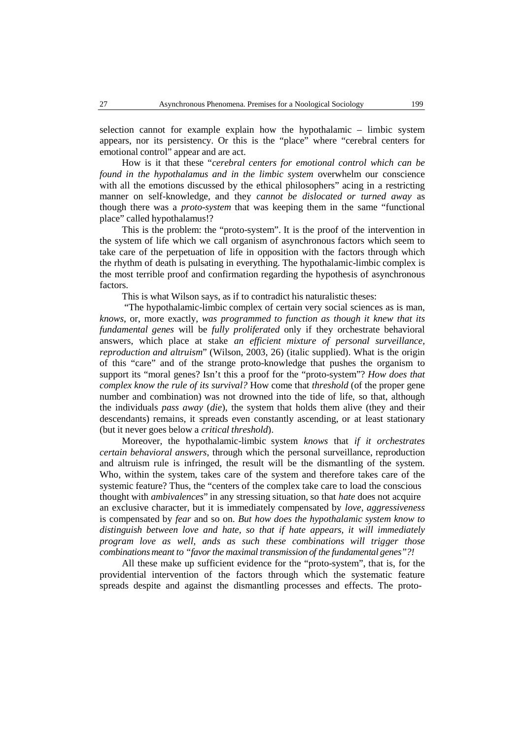selection cannot for example explain how the hypothalamic – limbic system appears, nor its persistency. Or this is the "place" where "cerebral centers for emotional control" appear and are act.

How is it that these "*cerebral centers for emotional control which can be found in the hypothalamus and in the limbic system* overwhelm our conscience with all the emotions discussed by the ethical philosophers" acing in a restricting manner on self-knowledge, and they *cannot be dislocated or turned away* as though there was a *proto-system* that was keeping them in the same "functional place" called hypothalamus!?

This is the problem: the "proto-system". It is the proof of the intervention in the system of life which we call organism of asynchronous factors which seem to take care of the perpetuation of life in opposition with the factors through which the rhythm of death is pulsating in everything. The hypothalamic-limbic complex is the most terrible proof and confirmation regarding the hypothesis of asynchronous factors.

This is what Wilson says, as if to contradict his naturalistic theses:

"The hypothalamic-limbic complex of certain very social sciences as is man, *knows*, or, more exactly, *was programmed to function as though it knew that its fundamental genes* will be *fully proliferated* only if they orchestrate behavioral answers, which place at stake *an efficient mixture of personal surveillance, reproduction and altruism*" (Wilson, 2003, 26) (italic supplied). What is the origin of this "care" and of the strange proto-knowledge that pushes the organism to support its "moral genes? Isn't this a proof for the "proto-system"? *How does that complex know the rule of its survival?* How come that *threshold* (of the proper gene number and combination) was not drowned into the tide of life, so that, although the individuals *pass away* (*die*), the system that holds them alive (they and their descendants) remains, it spreads even constantly ascending, or at least stationary (but it never goes below a *critical threshold*).

Moreover, the hypothalamic-limbic system *knows* that *if it orchestrates certain behavioral answers*, through which the personal surveillance, reproduction and altruism rule is infringed, the result will be the dismantling of the system. Who, within the system, takes care of the system and therefore takes care of the systemic feature? Thus, the "centers of the complex take care to load the conscious thought with *ambivalences*" in any stressing situation, so that *hate* does not acquire an exclusive character, but it is immediately compensated by *love*, *aggressiveness* is compensated by *fear* and so on. *But how does the hypothalamic system know to distinguish between love and hate, so that if hate appears, it will immediately program love as well, ands as such these combinations will trigger those combinations meant to "favorthe maximal transmission of the fundamental genes"?!*

All these make up sufficient evidence for the "proto-system", that is, for the providential intervention of the factors through which the systematic feature spreads despite and against the dismantling processes and effects. The proto